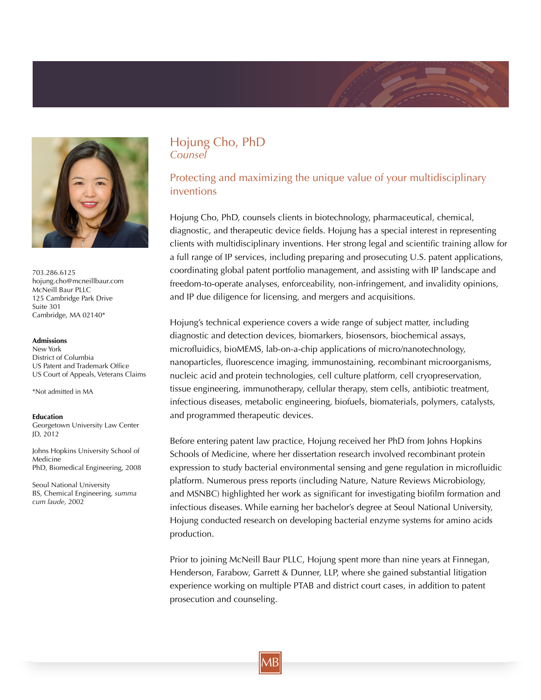

703.286.6125 hojung.cho@mcneillbaur.com McNeill Baur PLLC 125 Cambridge Park Drive Suite 301 Cambridge, MA 02140\*

#### **Admissions**

New York District of Columbia US Patent and Trademark Office US Court of Appeals, Veterans Claims

\*Not admitted in MA

**Education** Georgetown University Law Center JD, 2012

Johns Hopkins University School of Medicine PhD, Biomedical Engineering, 2008

Seoul National University BS, Chemical Engineering, *summa cum laude*, 2002

### Hojung Cho, PhD *Counsel*

# Protecting and maximizing the unique value of your multidisciplinary inventions

Hojung Cho, PhD, counsels clients in biotechnology, pharmaceutical, chemical, diagnostic, and therapeutic device fields. Hojung has a special interest in representing clients with multidisciplinary inventions. Her strong legal and scientific training allow for a full range of IP services, including preparing and prosecuting U.S. patent applications, coordinating global patent portfolio management, and assisting with IP landscape and freedom-to-operate analyses, enforceability, non-infringement, and invalidity opinions, and IP due diligence for licensing, and mergers and acquisitions.

Hojung's technical experience covers a wide range of subject matter, including diagnostic and detection devices, biomarkers, biosensors, biochemical assays, microfluidics, bioMEMS, lab-on-a-chip applications of micro/nanotechnology, nanoparticles, fluorescence imaging, immunostaining, recombinant microorganisms, nucleic acid and protein technologies, cell culture platform, cell cryopreservation, tissue engineering, immunotherapy, cellular therapy, stem cells, antibiotic treatment, infectious diseases, metabolic engineering, biofuels, biomaterials, polymers, catalysts, and programmed therapeutic devices.

Before entering patent law practice, Hojung received her PhD from Johns Hopkins Schools of Medicine, where her dissertation research involved recombinant protein expression to study bacterial environmental sensing and gene regulation in microfluidic platform. Numerous press reports (including Nature, Nature Reviews Microbiology, and MSNBC) highlighted her work as significant for investigating biofilm formation and infectious diseases. While earning her bachelor's degree at Seoul National University, Hojung conducted research on developing bacterial enzyme systems for amino acids production.

Prior to joining McNeill Baur PLLC, Hojung spent more than nine years at Finnegan, Henderson, Farabow, Garrett & Dunner, LLP, where she gained substantial litigation experience working on multiple PTAB and district court cases, in addition to patent prosecution and counseling.